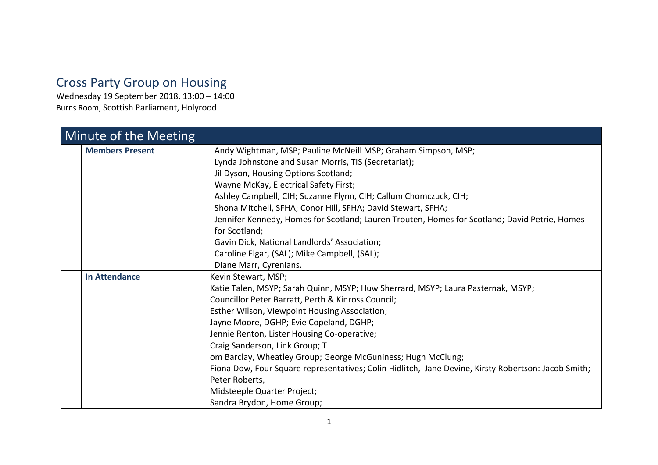## Cross Party Group on Housing

Wednesday 19 September 2018, 13:00 – 14:00 Burns Room, Scottish Parliament, Holyrood

| Minute of the Meeting  |                                                                                                     |
|------------------------|-----------------------------------------------------------------------------------------------------|
| <b>Members Present</b> | Andy Wightman, MSP; Pauline McNeill MSP; Graham Simpson, MSP;                                       |
|                        | Lynda Johnstone and Susan Morris, TIS (Secretariat);                                                |
|                        | Jil Dyson, Housing Options Scotland;                                                                |
|                        | Wayne McKay, Electrical Safety First;                                                               |
|                        | Ashley Campbell, CIH; Suzanne Flynn, CIH; Callum Chomczuck, CIH;                                    |
|                        | Shona Mitchell, SFHA; Conor Hill, SFHA; David Stewart, SFHA;                                        |
|                        | Jennifer Kennedy, Homes for Scotland; Lauren Trouten, Homes for Scotland; David Petrie, Homes       |
|                        | for Scotland;                                                                                       |
|                        | Gavin Dick, National Landlords' Association;                                                        |
|                        | Caroline Elgar, (SAL); Mike Campbell, (SAL);                                                        |
|                        | Diane Marr, Cyrenians.                                                                              |
| <b>In Attendance</b>   | Kevin Stewart, MSP;                                                                                 |
|                        | Katie Talen, MSYP; Sarah Quinn, MSYP; Huw Sherrard, MSYP; Laura Pasternak, MSYP;                    |
|                        | Councillor Peter Barratt, Perth & Kinross Council;                                                  |
|                        | Esther Wilson, Viewpoint Housing Association;                                                       |
|                        | Jayne Moore, DGHP; Evie Copeland, DGHP;                                                             |
|                        | Jennie Renton, Lister Housing Co-operative;                                                         |
|                        | Craig Sanderson, Link Group; T                                                                      |
|                        | om Barclay, Wheatley Group; George McGuniness; Hugh McClung;                                        |
|                        | Fiona Dow, Four Square representatives; Colin Hidlitch, Jane Devine, Kirsty Robertson: Jacob Smith; |
|                        | Peter Roberts,                                                                                      |
|                        | Midsteeple Quarter Project;                                                                         |
|                        | Sandra Brydon, Home Group;                                                                          |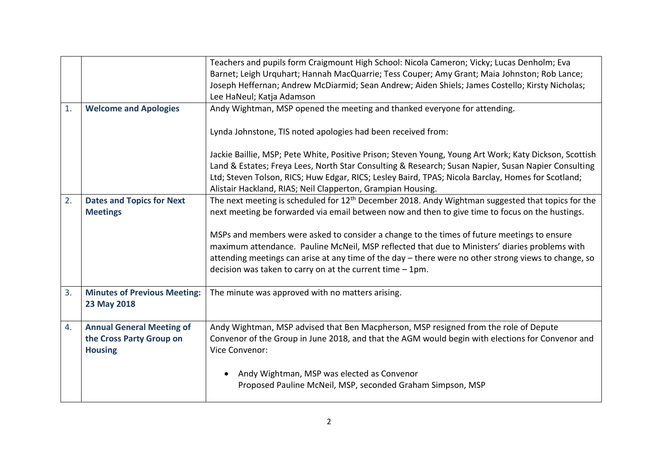|    |                                     | Teachers and pupils form Craigmount High School: Nicola Cameron; Vicky; Lucas Denholm; Eva                    |
|----|-------------------------------------|---------------------------------------------------------------------------------------------------------------|
|    |                                     | Barnet; Leigh Urquhart; Hannah MacQuarrie; Tess Couper; Amy Grant; Maia Johnston; Rob Lance;                  |
|    |                                     | Joseph Heffernan; Andrew McDiarmid; Sean Andrew; Aiden Shiels; James Costello; Kirsty Nicholas;               |
|    |                                     | Lee HaNeul; Katja Adamson                                                                                     |
| 1. | <b>Welcome and Apologies</b>        | Andy Wightman, MSP opened the meeting and thanked everyone for attending.                                     |
|    |                                     | Lynda Johnstone, TIS noted apologies had been received from:                                                  |
|    |                                     | Jackie Baillie, MSP; Pete White, Positive Prison; Steven Young, Young Art Work; Katy Dickson, Scottish        |
|    |                                     | Land & Estates; Freya Lees, North Star Consulting & Research; Susan Napier, Susan Napier Consulting           |
|    |                                     | Ltd; Steven Tolson, RICS; Huw Edgar, RICS; Lesley Baird, TPAS; Nicola Barclay, Homes for Scotland;            |
|    |                                     | Alistair Hackland, RIAS; Neil Clapperton, Grampian Housing.                                                   |
| 2. | <b>Dates and Topics for Next</b>    | The next meeting is scheduled for 12 <sup>th</sup> December 2018. Andy Wightman suggested that topics for the |
|    | <b>Meetings</b>                     | next meeting be forwarded via email between now and then to give time to focus on the hustings.               |
|    |                                     |                                                                                                               |
|    |                                     | MSPs and members were asked to consider a change to the times of future meetings to ensure                    |
|    |                                     | maximum attendance. Pauline McNeil, MSP reflected that due to Ministers' diaries problems with                |
|    |                                     | attending meetings can arise at any time of the day - there were no other strong views to change, so          |
|    |                                     | decision was taken to carry on at the current time $-1$ pm.                                                   |
| 3. | <b>Minutes of Previous Meeting:</b> | The minute was approved with no matters arising.                                                              |
|    | 23 May 2018                         |                                                                                                               |
| 4. | <b>Annual General Meeting of</b>    | Andy Wightman, MSP advised that Ben Macpherson, MSP resigned from the role of Depute                          |
|    | the Cross Party Group on            | Convenor of the Group in June 2018, and that the AGM would begin with elections for Convenor and              |
|    | <b>Housing</b>                      | Vice Convenor:                                                                                                |
|    |                                     |                                                                                                               |
|    |                                     | Andy Wightman, MSP was elected as Convenor                                                                    |
|    |                                     | Proposed Pauline McNeil, MSP, seconded Graham Simpson, MSP                                                    |
|    |                                     |                                                                                                               |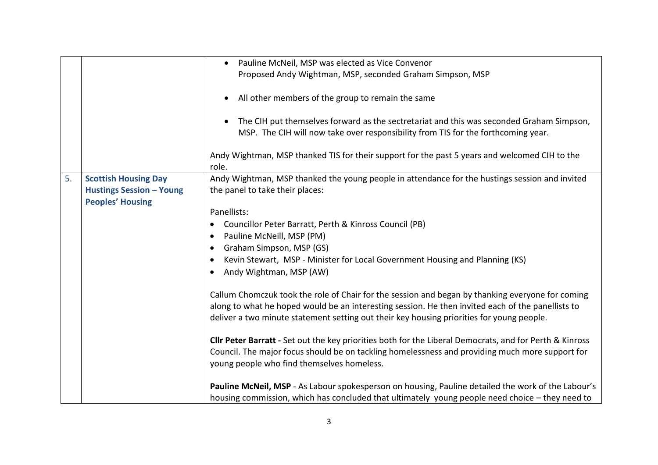|    |                                 | Pauline McNeil, MSP was elected as Vice Convenor<br>$\bullet$                                           |
|----|---------------------------------|---------------------------------------------------------------------------------------------------------|
|    |                                 | Proposed Andy Wightman, MSP, seconded Graham Simpson, MSP                                               |
|    |                                 |                                                                                                         |
|    |                                 | All other members of the group to remain the same                                                       |
|    |                                 |                                                                                                         |
|    |                                 | The CIH put themselves forward as the sectretariat and this was seconded Graham Simpson,                |
|    |                                 | MSP. The CIH will now take over responsibility from TIS for the forthcoming year.                       |
|    |                                 | Andy Wightman, MSP thanked TIS for their support for the past 5 years and welcomed CIH to the           |
|    |                                 | role.                                                                                                   |
| 5. | <b>Scottish Housing Day</b>     | Andy Wightman, MSP thanked the young people in attendance for the hustings session and invited          |
|    | <b>Hustings Session - Young</b> | the panel to take their places:                                                                         |
|    | <b>Peoples' Housing</b>         |                                                                                                         |
|    |                                 | Panellists:                                                                                             |
|    |                                 | Councillor Peter Barratt, Perth & Kinross Council (PB)                                                  |
|    |                                 | Pauline McNeill, MSP (PM)                                                                               |
|    |                                 | Graham Simpson, MSP (GS)                                                                                |
|    |                                 | Kevin Stewart, MSP - Minister for Local Government Housing and Planning (KS)                            |
|    |                                 | Andy Wightman, MSP (AW)                                                                                 |
|    |                                 |                                                                                                         |
|    |                                 | Callum Chomczuk took the role of Chair for the session and began by thanking everyone for coming        |
|    |                                 | along to what he hoped would be an interesting session. He then invited each of the panellists to       |
|    |                                 | deliver a two minute statement setting out their key housing priorities for young people.               |
|    |                                 | Cllr Peter Barratt - Set out the key priorities both for the Liberal Democrats, and for Perth & Kinross |
|    |                                 | Council. The major focus should be on tackling homelessness and providing much more support for         |
|    |                                 | young people who find themselves homeless.                                                              |
|    |                                 |                                                                                                         |
|    |                                 | Pauline McNeil, MSP - As Labour spokesperson on housing, Pauline detailed the work of the Labour's      |
|    |                                 | housing commission, which has concluded that ultimately young people need choice - they need to         |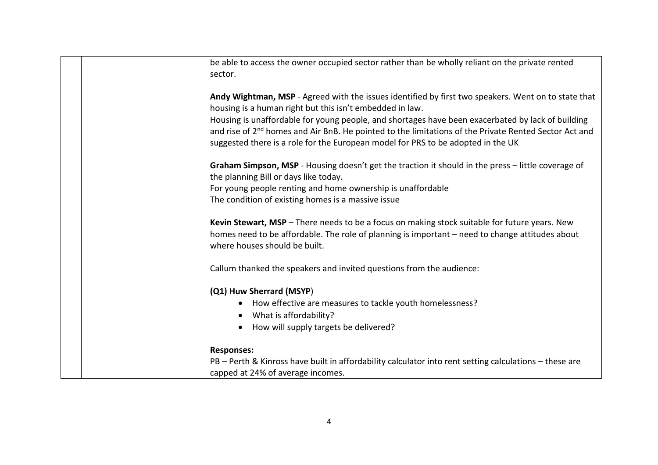| be able to access the owner occupied sector rather than be wholly reliant on the private rented<br>sector.                                                                                                                        |
|-----------------------------------------------------------------------------------------------------------------------------------------------------------------------------------------------------------------------------------|
| Andy Wightman, MSP - Agreed with the issues identified by first two speakers. Went on to state that<br>housing is a human right but this isn't embedded in law.                                                                   |
| Housing is unaffordable for young people, and shortages have been exacerbated by lack of building                                                                                                                                 |
| and rise of 2 <sup>nd</sup> homes and Air BnB. He pointed to the limitations of the Private Rented Sector Act and                                                                                                                 |
| suggested there is a role for the European model for PRS to be adopted in the UK                                                                                                                                                  |
| Graham Simpson, MSP - Housing doesn't get the traction it should in the press - little coverage of<br>the planning Bill or days like today.                                                                                       |
| For young people renting and home ownership is unaffordable                                                                                                                                                                       |
| The condition of existing homes is a massive issue                                                                                                                                                                                |
| Kevin Stewart, MSP - There needs to be a focus on making stock suitable for future years. New<br>homes need to be affordable. The role of planning is important – need to change attitudes about<br>where houses should be built. |
| Callum thanked the speakers and invited questions from the audience:                                                                                                                                                              |
| (Q1) Huw Sherrard (MSYP)                                                                                                                                                                                                          |
| How effective are measures to tackle youth homelessness?                                                                                                                                                                          |
| What is affordability?<br>$\bullet$                                                                                                                                                                                               |
| How will supply targets be delivered?<br>$\bullet$                                                                                                                                                                                |
| <b>Responses:</b>                                                                                                                                                                                                                 |
| PB - Perth & Kinross have built in affordability calculator into rent setting calculations - these are                                                                                                                            |
| capped at 24% of average incomes.                                                                                                                                                                                                 |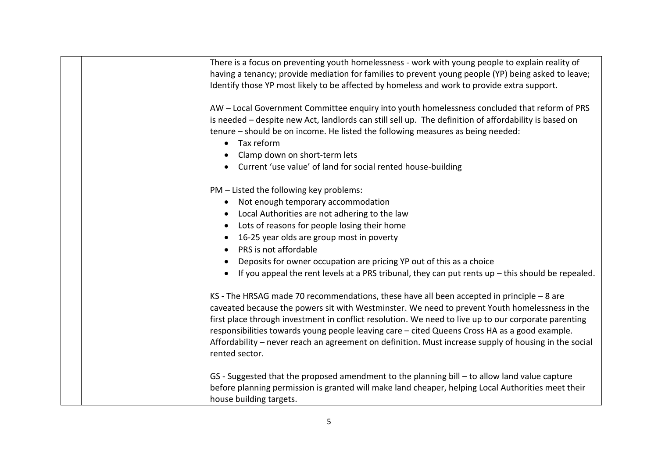| There is a focus on preventing youth homelessness - work with young people to explain reality of<br>having a tenancy; provide mediation for families to prevent young people (YP) being asked to leave;<br>Identify those YP most likely to be affected by homeless and work to provide extra support.                                                                                                                                                                                                                          |
|---------------------------------------------------------------------------------------------------------------------------------------------------------------------------------------------------------------------------------------------------------------------------------------------------------------------------------------------------------------------------------------------------------------------------------------------------------------------------------------------------------------------------------|
| AW - Local Government Committee enquiry into youth homelessness concluded that reform of PRS<br>is needed - despite new Act, landlords can still sell up. The definition of affordability is based on<br>tenure - should be on income. He listed the following measures as being needed:<br>Tax reform<br>$\bullet$<br>Clamp down on short-term lets<br>Current 'use value' of land for social rented house-building                                                                                                            |
| PM - Listed the following key problems:<br>Not enough temporary accommodation<br>$\bullet$<br>Local Authorities are not adhering to the law<br>Lots of reasons for people losing their home<br>$\bullet$<br>16-25 year olds are group most in poverty<br>PRS is not affordable<br>Deposits for owner occupation are pricing YP out of this as a choice<br>If you appeal the rent levels at a PRS tribunal, they can put rents $up$ - this should be repealed.                                                                   |
| KS - The HRSAG made 70 recommendations, these have all been accepted in principle - 8 are<br>caveated because the powers sit with Westminster. We need to prevent Youth homelessness in the<br>first place through investment in conflict resolution. We need to live up to our corporate parenting<br>responsibilities towards young people leaving care - cited Queens Cross HA as a good example.<br>Affordability – never reach an agreement on definition. Must increase supply of housing in the social<br>rented sector. |
| GS - Suggested that the proposed amendment to the planning bill - to allow land value capture<br>before planning permission is granted will make land cheaper, helping Local Authorities meet their<br>house building targets.                                                                                                                                                                                                                                                                                                  |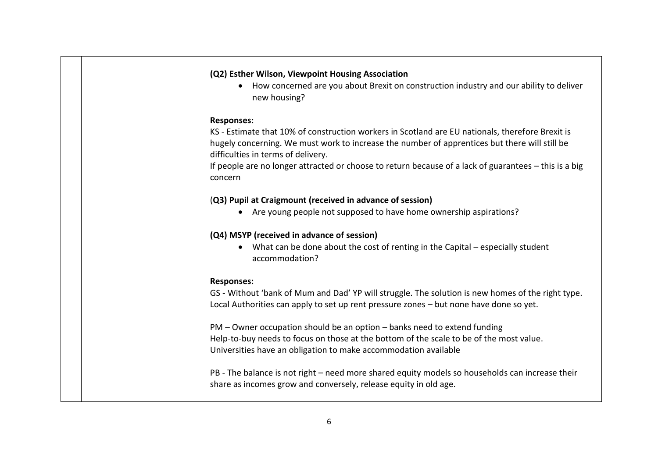| (Q2) Esther Wilson, Viewpoint Housing Association                                                                                                                                                                                       |
|-----------------------------------------------------------------------------------------------------------------------------------------------------------------------------------------------------------------------------------------|
| How concerned are you about Brexit on construction industry and our ability to deliver<br>new housing?                                                                                                                                  |
| <b>Responses:</b>                                                                                                                                                                                                                       |
| KS - Estimate that 10% of construction workers in Scotland are EU nationals, therefore Brexit is<br>hugely concerning. We must work to increase the number of apprentices but there will still be<br>difficulties in terms of delivery. |
| If people are no longer attracted or choose to return because of a lack of guarantees - this is a big<br>concern                                                                                                                        |
| (Q3) Pupil at Craigmount (received in advance of session)                                                                                                                                                                               |
| Are young people not supposed to have home ownership aspirations?                                                                                                                                                                       |
| (Q4) MSYP (received in advance of session)                                                                                                                                                                                              |
| • What can be done about the cost of renting in the Capital – especially student<br>accommodation?                                                                                                                                      |
| <b>Responses:</b>                                                                                                                                                                                                                       |
| GS - Without 'bank of Mum and Dad' YP will struggle. The solution is new homes of the right type.<br>Local Authorities can apply to set up rent pressure zones - but none have done so yet.                                             |
| PM – Owner occupation should be an option – banks need to extend funding<br>Help-to-buy needs to focus on those at the bottom of the scale to be of the most value.<br>Universities have an obligation to make accommodation available  |
| PB - The balance is not right - need more shared equity models so households can increase their<br>share as incomes grow and conversely, release equity in old age.                                                                     |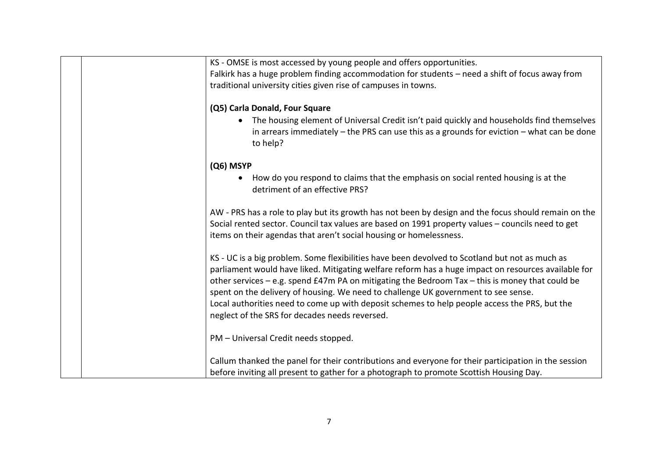| KS - OMSE is most accessed by young people and offers opportunities.                                 |
|------------------------------------------------------------------------------------------------------|
| Falkirk has a huge problem finding accommodation for students - need a shift of focus away from      |
| traditional university cities given rise of campuses in towns.                                       |
|                                                                                                      |
| (Q5) Carla Donald, Four Square                                                                       |
| The housing element of Universal Credit isn't paid quickly and households find themselves            |
| in arrears immediately $-$ the PRS can use this as a grounds for eviction $-$ what can be done       |
| to help?                                                                                             |
|                                                                                                      |
| (Q6) MSYP                                                                                            |
| How do you respond to claims that the emphasis on social rented housing is at the                    |
| detriment of an effective PRS?                                                                       |
|                                                                                                      |
| AW - PRS has a role to play but its growth has not been by design and the focus should remain on the |
| Social rented sector. Council tax values are based on 1991 property values - councils need to get    |
| items on their agendas that aren't social housing or homelessness.                                   |
|                                                                                                      |
| KS - UC is a big problem. Some flexibilities have been devolved to Scotland but not as much as       |
| parliament would have liked. Mitigating welfare reform has a huge impact on resources available for  |
| other services - e.g. spend £47m PA on mitigating the Bedroom Tax - this is money that could be      |
| spent on the delivery of housing. We need to challenge UK government to see sense.                   |
| Local authorities need to come up with deposit schemes to help people access the PRS, but the        |
| neglect of the SRS for decades needs reversed.                                                       |
|                                                                                                      |
| PM - Universal Credit needs stopped.                                                                 |
|                                                                                                      |
| Callum thanked the panel for their contributions and everyone for their participation in the session |
| before inviting all present to gather for a photograph to promote Scottish Housing Day.              |